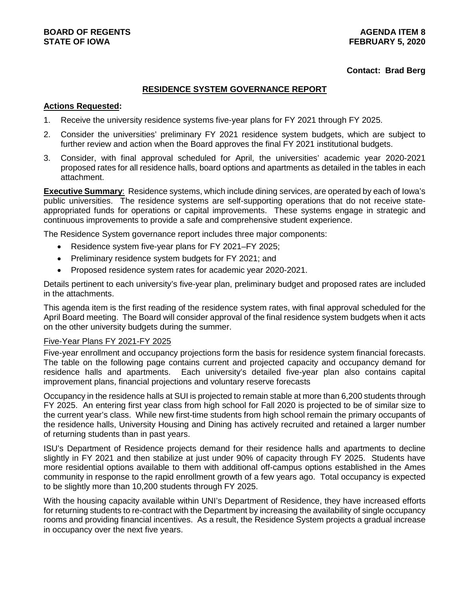## **Contact: Brad Berg**

## **RESIDENCE SYSTEM GOVERNANCE REPORT**

### **Actions Requested:**

- 1. Receive the university residence systems five-year plans for FY 2021 through FY 2025.
- 2. Consider the universities' preliminary FY 2021 residence system budgets, which are subject to further review and action when the Board approves the final FY 2021 institutional budgets.
- 3. Consider, with final approval scheduled for April, the universities' academic year 2020-2021 proposed rates for all residence halls, board options and apartments as detailed in the tables in each attachment.

**Executive Summary**: Residence systems, which include dining services, are operated by each of Iowa's public universities. The residence systems are self-supporting operations that do not receive stateappropriated funds for operations or capital improvements. These systems engage in strategic and continuous improvements to provide a safe and comprehensive student experience.

The Residence System governance report includes three major components:

- Residence system five-year plans for FY 2021–FY 2025;
- Preliminary residence system budgets for FY 2021; and
- Proposed residence system rates for academic year 2020-2021.

Details pertinent to each university's five-year plan, preliminary budget and proposed rates are included in the attachments.

This agenda item is the first reading of the residence system rates, with final approval scheduled for the April Board meeting. The Board will consider approval of the final residence system budgets when it acts on the other university budgets during the summer.

## Five-Year Plans FY 2021-FY 2025

Five-year enrollment and occupancy projections form the basis for residence system financial forecasts. The table on the following page contains current and projected capacity and occupancy demand for residence halls and apartments. Each university's detailed five-year plan also contains capital improvement plans, financial projections and voluntary reserve forecasts

Occupancy in the residence halls at SUI is projected to remain stable at more than 6,200 students through FY 2025. An entering first year class from high school for Fall 2020 is projected to be of similar size to the current year's class. While new first-time students from high school remain the primary occupants of the residence halls, University Housing and Dining has actively recruited and retained a larger number of returning students than in past years.

ISU's Department of Residence projects demand for their residence halls and apartments to decline slightly in FY 2021 and then stabilize at just under 90% of capacity through FY 2025. Students have more residential options available to them with additional off-campus options established in the Ames community in response to the rapid enrollment growth of a few years ago. Total occupancy is expected to be slightly more than 10,200 students through FY 2025.

With the housing capacity available within UNI's Department of Residence, they have increased efforts for returning students to re-contract with the Department by increasing the availability of single occupancy rooms and providing financial incentives. As a result, the Residence System projects a gradual increase in occupancy over the next five years.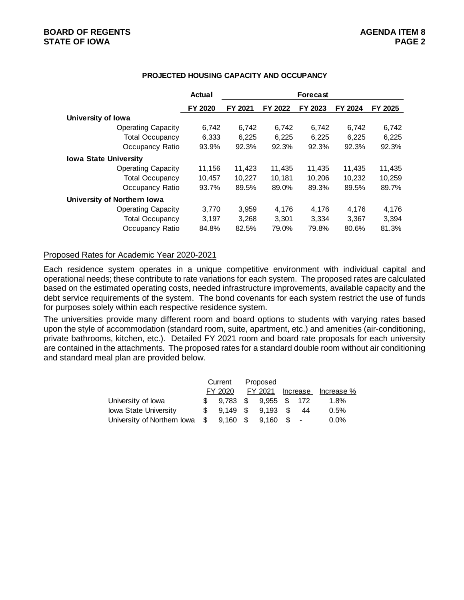## **BOARD OF REGENTS AGENDA ITEM 8 STATE OF IOWA**

|                              | Actual  | <b>Forecast</b> |         |         |         |         |  |  |  |
|------------------------------|---------|-----------------|---------|---------|---------|---------|--|--|--|
|                              | FY 2020 | FY 2021         | FY 2022 | FY 2023 | FY 2024 | FY 2025 |  |  |  |
| University of Iowa           |         |                 |         |         |         |         |  |  |  |
| <b>Operating Capacity</b>    | 6,742   | 6,742           | 6,742   | 6,742   | 6,742   | 6,742   |  |  |  |
| <b>Total Occupancy</b>       | 6,333   | 6,225           | 6,225   | 6,225   | 6,225   | 6,225   |  |  |  |
| Occupancy Ratio              | 93.9%   | 92.3%           | 92.3%   | 92.3%   | 92.3%   | 92.3%   |  |  |  |
| <b>Iowa State University</b> |         |                 |         |         |         |         |  |  |  |
| <b>Operating Capacity</b>    | 11,156  | 11,423          | 11,435  | 11,435  | 11,435  | 11,435  |  |  |  |
| <b>Total Occupancy</b>       | 10,457  | 10,227          | 10,181  | 10,206  | 10,232  | 10,259  |  |  |  |
| Occupancy Ratio              | 93.7%   | 89.5%           | 89.0%   | 89.3%   | 89.5%   | 89.7%   |  |  |  |
| University of Northern Iowa  |         |                 |         |         |         |         |  |  |  |
| <b>Operating Capacity</b>    | 3,770   | 3,959           | 4,176   | 4,176   | 4,176   | 4,176   |  |  |  |
| <b>Total Occupancy</b>       | 3,197   | 3,268           | 3.301   | 3.334   | 3.367   | 3,394   |  |  |  |
| Occupancy Ratio              | 84.8%   | 82.5%           | 79.0%   | 79.8%   | 80.6%   | 81.3%   |  |  |  |

## **PROJECTED HOUSING CAPACITY AND OCCUPANCY**

## Proposed Rates for Academic Year 2020-2021

Each residence system operates in a unique competitive environment with individual capital and operational needs; these contribute to rate variations for each system. The proposed rates are calculated based on the estimated operating costs, needed infrastructure improvements, available capacity and the debt service requirements of the system. The bond covenants for each system restrict the use of funds for purposes solely within each respective residence system.

The universities provide many different room and board options to students with varying rates based upon the style of accommodation (standard room, suite, apartment, etc.) and amenities (air-conditioning, private bathrooms, kitchen, etc.). Detailed FY 2021 room and board rate proposals for each university are contained in the attachments. The proposed rates for a standard double room without air conditioning and standard meal plan are provided below.

|                                | Current |            | Proposed     |       |          |            |
|--------------------------------|---------|------------|--------------|-------|----------|------------|
|                                |         | FY 2020    | FY 2021      |       | Increase | Increase % |
| University of lowa             |         | 9.783 \$   | 9.955 \$ 172 |       |          | 1.8%       |
| <b>Iowa State University</b>   |         | $9.149$ \$ | $9.193$ \$   |       | -44      | 0.5%       |
| University of Northern Iowa \$ |         | $9,160$ \$ | 9.160        | $s -$ |          | $0.0\%$    |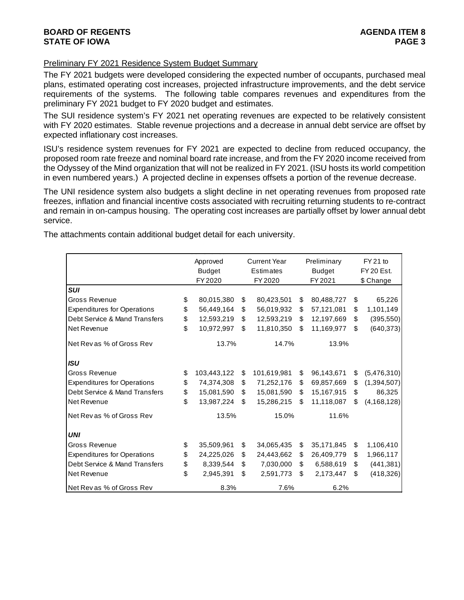## **BOARD OF REGENTS AGENDA ITEM 8 STATE OF IOWA**

## Preliminary FY 2021 Residence System Budget Summary

The FY 2021 budgets were developed considering the expected number of occupants, purchased meal plans, estimated operating cost increases, projected infrastructure improvements, and the debt service requirements of the systems. The following table compares revenues and expenditures from the preliminary FY 2021 budget to FY 2020 budget and estimates.

The SUI residence system's FY 2021 net operating revenues are expected to be relatively consistent with FY 2020 estimates. Stable revenue projections and a decrease in annual debt service are offset by expected inflationary cost increases.

ISU's residence system revenues for FY 2021 are expected to decline from reduced occupancy, the proposed room rate freeze and nominal board rate increase, and from the FY 2020 income received from the Odyssey of the Mind organization that will not be realized in FY 2021. (ISU hosts its world competition in even numbered years.) A projected decline in expenses offsets a portion of the revenue decrease.

The UNI residence system also budgets a slight decline in net operating revenues from proposed rate freezes, inflation and financial incentive costs associated with recruiting returning students to re-contract and remain in on-campus housing. The operating cost increases are partially offset by lower annual debt service.

The attachments contain additional budget detail for each university.

|                                    | Approved          |    | <b>Current Year</b> | Preliminary      |                   | $FY21$ to     |  |
|------------------------------------|-------------------|----|---------------------|------------------|-------------------|---------------|--|
|                                    | <b>Budget</b>     |    | <b>Estimates</b>    | <b>Budget</b>    | <b>FY 20 Est.</b> |               |  |
|                                    | FY 2020           |    | FY 2020             | FY 2021          |                   | \$ Change     |  |
| <b>SUI</b>                         |                   |    |                     |                  |                   |               |  |
| <b>Gross Revenue</b>               | \$<br>80,015,380  | S. | 80,423,501          | \$<br>80,488,727 | \$                | 65,226        |  |
| <b>Expenditures for Operations</b> | \$<br>56,449,164  | \$ | 56,019,932          | \$<br>57,121,081 | \$                | 1,101,149     |  |
| Debt Service & Mand Transfers      | \$<br>12,593,219  | \$ | 12,593,219          | \$<br>12,197,669 | \$                | (395, 550)    |  |
| Net Revenue                        | \$<br>10,972,997  | \$ | 11,810,350          | \$<br>11,169,977 | \$                | (640, 373)    |  |
| Net Revas % of Gross Rev           | 13.7%             |    | 14.7%               | 13.9%            |                   |               |  |
| <b>ISU</b>                         |                   |    |                     |                  |                   |               |  |
| <b>Gross Revenue</b>               | \$<br>103,443,122 | \$ | 101,619,981         | \$<br>96,143,671 | \$                | (5,476,310)   |  |
| <b>Expenditures for Operations</b> | \$<br>74,374,308  | \$ | 71,252,176          | \$<br>69,857,669 | \$                | (1, 394, 507) |  |
| Debt Service & Mand Transfers      | \$<br>15,081,590  | \$ | 15,081,590          | \$<br>15,167,915 | \$                | 86,325        |  |
| Net Revenue                        | \$<br>13,987,224  | \$ | 15,286,215          | \$<br>11,118,087 | \$                | (4, 168, 128) |  |
| Net Revas % of Gross Rev           | 13.5%             |    | 15.0%               | 11.6%            |                   |               |  |
| <b>UNI</b>                         |                   |    |                     |                  |                   |               |  |
| <b>Gross Revenue</b>               | \$<br>35,509,961  | \$ | 34,065,435          | \$<br>35,171,845 | \$                | 1,106,410     |  |
| <b>Expenditures for Operations</b> | \$<br>24,225,026  | \$ | 24,443,662          | \$<br>26,409,779 | \$                | 1,966,117     |  |
| Debt Service & Mand Transfers      | \$<br>8,339,544   | \$ | 7,030,000           | \$<br>6,588,619  | \$                | (441, 381)    |  |
| Net Revenue                        | \$<br>2,945,391   | \$ | 2,591,773           | \$<br>2,173,447  | \$                | (418, 326)    |  |
| Net Revas % of Gross Rev           | 8.3%              |    | 7.6%                | 6.2%             |                   |               |  |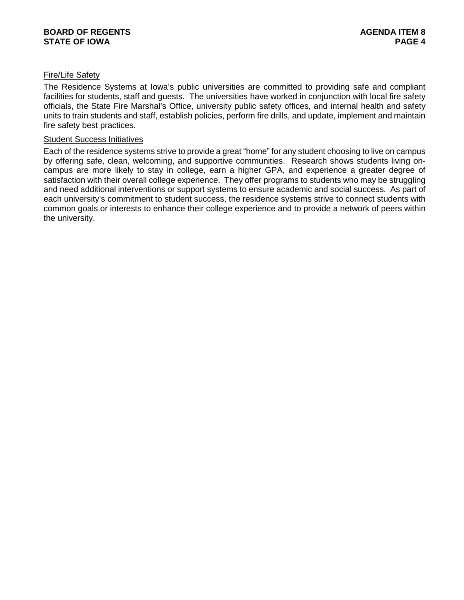## Fire/Life Safety

The Residence Systems at Iowa's public universities are committed to providing safe and compliant facilities for students, staff and guests. The universities have worked in conjunction with local fire safety officials, the State Fire Marshal's Office, university public safety offices, and internal health and safety units to train students and staff, establish policies, perform fire drills, and update, implement and maintain fire safety best practices.

## Student Success Initiatives

Each of the residence systems strive to provide a great "home" for any student choosing to live on campus by offering safe, clean, welcoming, and supportive communities. Research shows students living oncampus are more likely to stay in college, earn a higher GPA, and experience a greater degree of satisfaction with their overall college experience. They offer programs to students who may be struggling and need additional interventions or support systems to ensure academic and social success. As part of each university's commitment to student success, the residence systems strive to connect students with common goals or interests to enhance their college experience and to provide a network of peers within the university.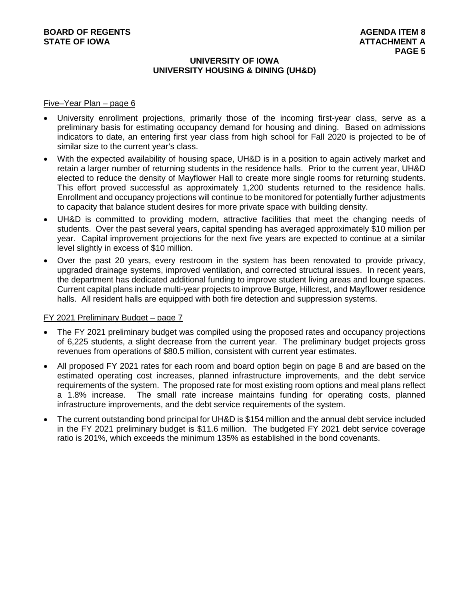## **UNIVERSITY OF IOWA UNIVERSITY HOUSING & DINING (UH&D)**

### Five–Year Plan – page 6

- University enrollment projections, primarily those of the incoming first-year class, serve as a preliminary basis for estimating occupancy demand for housing and dining. Based on admissions indicators to date, an entering first year class from high school for Fall 2020 is projected to be of similar size to the current year's class.
- With the expected availability of housing space, UH&D is in a position to again actively market and retain a larger number of returning students in the residence halls. Prior to the current year, UH&D elected to reduce the density of Mayflower Hall to create more single rooms for returning students. This effort proved successful as approximately 1,200 students returned to the residence halls. Enrollment and occupancy projections will continue to be monitored for potentially further adjustments to capacity that balance student desires for more private space with building density.
- UH&D is committed to providing modern, attractive facilities that meet the changing needs of students. Over the past several years, capital spending has averaged approximately \$10 million per year. Capital improvement projections for the next five years are expected to continue at a similar level slightly in excess of \$10 million.
- Over the past 20 years, every restroom in the system has been renovated to provide privacy, upgraded drainage systems, improved ventilation, and corrected structural issues. In recent years, the department has dedicated additional funding to improve student living areas and lounge spaces. Current capital plans include multi-year projects to improve Burge, Hillcrest, and Mayflower residence halls. All resident halls are equipped with both fire detection and suppression systems.

## FY 2021 Preliminary Budget – page 7

- The FY 2021 preliminary budget was compiled using the proposed rates and occupancy projections of 6,225 students, a slight decrease from the current year. The preliminary budget projects gross revenues from operations of \$80.5 million, consistent with current year estimates.
- All proposed FY 2021 rates for each room and board option begin on page 8 and are based on the estimated operating cost increases, planned infrastructure improvements, and the debt service requirements of the system. The proposed rate for most existing room options and meal plans reflect a 1.8% increase. The small rate increase maintains funding for operating costs, planned infrastructure improvements, and the debt service requirements of the system.
- The current outstanding bond principal for UH&D is \$154 million and the annual debt service included in the FY 2021 preliminary budget is \$11.6 million. The budgeted FY 2021 debt service coverage ratio is 201%, which exceeds the minimum 135% as established in the bond covenants.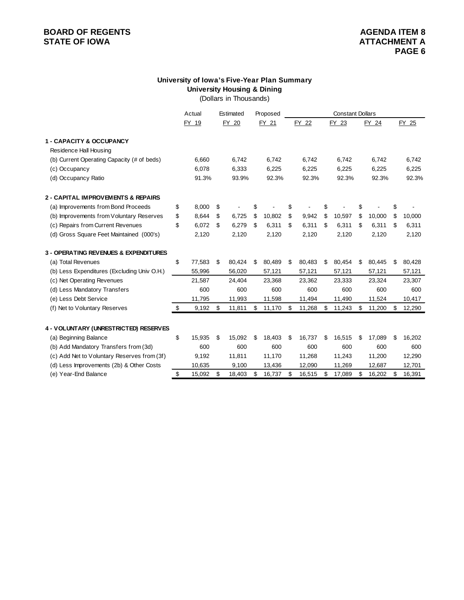# **University of Iowa's Five-Year Plan Summary University Housing & Dining**

(Dollars in Thousands)

|                                             | Actual       | Estimated    | Proposed     | <b>Constant Dollars</b> |        |    |        |              |              |
|---------------------------------------------|--------------|--------------|--------------|-------------------------|--------|----|--------|--------------|--------------|
|                                             | FY 19        | FY 20        | FY 21        |                         | FY 22  |    | FY 23  | FY 24        | FY 25        |
| <b>1 - CAPACITY &amp; OCCUPANCY</b>         |              |              |              |                         |        |    |        |              |              |
| Residence Hall Housing                      |              |              |              |                         |        |    |        |              |              |
| (b) Current Operating Capacity (# of beds)  | 6,660        | 6,742        | 6,742        |                         | 6,742  |    | 6,742  | 6,742        | 6,742        |
| (c) Occupancy                               | 6,078        | 6,333        | 6,225        |                         | 6,225  |    | 6,225  | 6,225        | 6,225        |
| (d) Occupancy Ratio                         | 91.3%        | 93.9%        | 92.3%        |                         | 92.3%  |    | 92.3%  | 92.3%        | 92.3%        |
| 2 - CAPITAL IMPROVEMENTS & REPAIRS          |              |              |              |                         |        |    |        |              |              |
| (a) Improvements from Bond Proceeds         | \$<br>8,000  | \$           | \$           | \$                      |        | \$ |        |              | \$           |
| (b) Improvements from Voluntary Reserves    | \$<br>8,644  | \$<br>6,725  | \$<br>10,802 | \$                      | 9,942  | \$ | 10,597 | \$<br>10,000 | \$<br>10,000 |
| (c) Repairs from Current Revenues           | \$<br>6,072  | \$<br>6,279  | \$<br>6,311  | \$                      | 6,311  | \$ | 6,311  | \$<br>6,311  | \$<br>6,311  |
| (d) Gross Square Feet Maintained (000's)    | 2,120        | 2,120        | 2,120        |                         | 2,120  |    | 2,120  | 2,120        | 2,120        |
| 3 - OPERATING REVENUES & EXPENDITURES       |              |              |              |                         |        |    |        |              |              |
| (a) Total Revenues                          | \$<br>77,583 | \$<br>80,424 | \$<br>80,489 | \$                      | 80,483 | \$ | 80,454 | \$<br>80,445 | \$<br>80,428 |
| (b) Less Expenditures (Excluding Univ O.H.) | 55,996       | 56,020       | 57,121       |                         | 57,121 |    | 57,121 | 57,121       | 57,121       |
| (c) Net Operating Revenues                  | 21,587       | 24,404       | 23,368       |                         | 23,362 |    | 23,333 | 23,324       | 23,307       |
| (d) Less Mandatory Transfers                | 600          | 600          | 600          |                         | 600    |    | 600    | 600          | 600          |
| (e) Less Debt Service                       | 11,795       | 11,993       | 11,598       |                         | 11,494 |    | 11,490 | 11,524       | 10,417       |
| (f) Net to Voluntary Reserves               | \$<br>9,192  | \$<br>11,811 | \$<br>11,170 | \$                      | 11,268 | \$ | 11,243 | \$<br>11,200 | \$<br>12,290 |
| 4 - VOLUNTARY (UNRESTRICTED) RESERVES       |              |              |              |                         |        |    |        |              |              |
| (a) Beginning Balance                       | \$<br>15,935 | \$<br>15,092 | \$<br>18,403 | \$                      | 16,737 | \$ | 16,515 | \$<br>17,089 | \$<br>16,202 |
| (b) Add Mandatory Transfers from (3d)       | 600          | 600          | 600          |                         | 600    |    | 600    | 600          | 600          |
| (c) Add Net to Voluntary Reserves from (3f) | 9,192        | 11,811       | 11,170       |                         | 11,268 |    | 11,243 | 11,200       | 12,290       |
| (d) Less Improvements (2b) & Other Costs    | 10,635       | 9,100        | 13,436       |                         | 12,090 |    | 11,269 | 12,687       | 12,701       |
| (e) Year-End Balance                        | \$<br>15,092 | \$<br>18,403 | \$<br>16,737 | \$                      | 16,515 | \$ | 17,089 | \$<br>16,202 | \$<br>16,391 |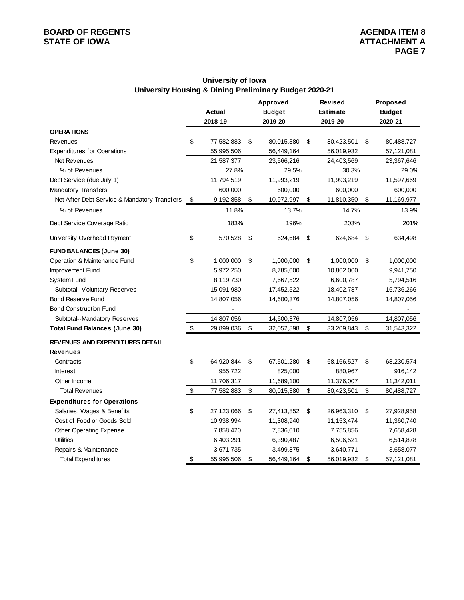# **University of Iowa University Housing & Dining Preliminary Budget 2020-21**

|                                              |                  | Approved         | <b>Revised</b>   |                         | Proposed      |
|----------------------------------------------|------------------|------------------|------------------|-------------------------|---------------|
|                                              | Actual           | <b>Budget</b>    | <b>Estimate</b>  |                         | <b>Budget</b> |
|                                              | 2018-19          | 2019-20          | 2019-20          |                         | 2020-21       |
| <b>OPERATIONS</b>                            |                  |                  |                  |                         |               |
| Revenues                                     | \$<br>77,582,883 | \$<br>80,015,380 | \$<br>80,423,501 | \$                      | 80,488,727    |
| <b>Expenditures for Operations</b>           | 55,995,506       | 56,449,164       | 56,019,932       |                         | 57,121,081    |
| Net Revenues                                 | 21,587,377       | 23,566,216       | 24,403,569       |                         | 23,367,646    |
| % of Revenues                                | 27.8%            | 29.5%            | 30.3%            |                         | 29.0%         |
| Debt Service (due July 1)                    | 11,794,519       | 11,993,219       | 11,993,219       |                         | 11,597,669    |
| <b>Mandatory Transfers</b>                   | 600,000          | 600,000          | 600,000          |                         | 600,000       |
| Net After Debt Service & Mandatory Transfers | \$<br>9,192,858  | \$<br>10,972,997 | \$<br>11,810,350 | $\sqrt[6]{\frac{1}{2}}$ | 11,169,977    |
| % of Revenues                                | 11.8%            | 13.7%            | 14.7%            |                         | 13.9%         |
| Debt Service Coverage Ratio                  | 183%             | 196%             | 203%             |                         | 201%          |
| University Overhead Payment                  | \$<br>570,528    | \$<br>624,684    | \$<br>624,684    | \$                      | 634,498       |
| <b>FUND BALANCES (June 30)</b>               |                  |                  |                  |                         |               |
| Operation & Maintenance Fund                 | \$<br>1,000,000  | \$<br>1,000,000  | \$<br>1,000,000  | \$                      | 1,000,000     |
| Improvement Fund                             | 5,972,250        | 8,785,000        | 10,802,000       |                         | 9,941,750     |
| System Fund                                  | 8,119,730        | 7,667,522        | 6,600,787        |                         | 5,794,516     |
| Subtotal--Voluntary Reserves                 | 15,091,980       | 17,452,522       | 18,402,787       |                         | 16,736,266    |
| <b>Bond Reserve Fund</b>                     | 14,807,056       | 14,600,376       | 14,807,056       |                         | 14,807,056    |
| <b>Bond Construction Fund</b>                |                  |                  |                  |                         |               |
| Subtotal--Mandatory Reserves                 | 14,807,056       | 14,600,376       | 14,807,056       |                         | 14,807,056    |
| <b>Total Fund Balances (June 30)</b>         | \$<br>29,899,036 | \$<br>32,052,898 | \$<br>33,209,843 | \$                      | 31,543,322    |
| <b>REVENUES AND EXPENDITURES DETAIL</b>      |                  |                  |                  |                         |               |
| <b>Revenues</b>                              |                  |                  |                  |                         |               |
| Contracts                                    | \$<br>64,920,844 | \$<br>67,501,280 | \$<br>68,166,527 | \$                      | 68,230,574    |
| <b>Interest</b>                              | 955,722          | 825,000          | 880,967          |                         | 916,142       |
| Other Income                                 | 11,706,317       | 11,689,100       | 11,376,007       |                         | 11,342,011    |
| <b>Total Revenues</b>                        | \$<br>77,582,883 | \$<br>80,015,380 | \$<br>80,423,501 | \$                      | 80,488,727    |
| <b>Expenditures for Operations</b>           |                  |                  |                  |                         |               |
| Salaries, Wages & Benefits                   | \$<br>27,123,066 | \$<br>27,413,852 | \$<br>26,963,310 | \$                      | 27,928,958    |
| Cost of Food or Goods Sold                   | 10,938,994       | 11,308,940       | 11,153,474       |                         | 11,360,740    |
| Other Operating Expense                      | 7,858,420        | 7,836,010        | 7,755,856        |                         | 7,658,428     |
| <b>Utilities</b>                             | 6,403,291        | 6,390,487        | 6,506,521        |                         | 6,514,878     |
| Repairs & Maintenance                        | 3,671,735        | 3,499,875        | 3,640,771        |                         | 3,658,077     |
| <b>Total Expenditures</b>                    | \$<br>55,995,506 | \$<br>56,449,164 | \$<br>56,019,932 | \$                      | 57,121,081    |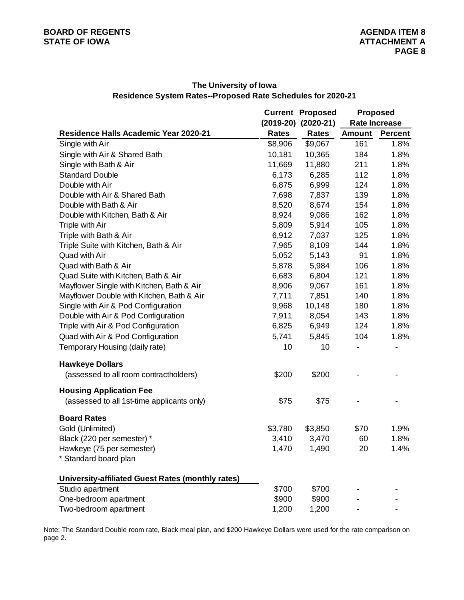|                                                   |              | <b>Current Proposed</b> | <b>Proposed</b> |                      |  |  |  |
|---------------------------------------------------|--------------|-------------------------|-----------------|----------------------|--|--|--|
|                                                   |              | $(2019-20)$ $(2020-21)$ |                 | <b>Rate Increase</b> |  |  |  |
| Residence Halls Academic Year 2020-21             | <b>Rates</b> | <b>Rates</b>            | <b>Amount</b>   | <b>Percent</b>       |  |  |  |
| Single with Air                                   | \$8,906      | \$9,067                 | 161             | 1.8%                 |  |  |  |
| Single with Air & Shared Bath                     | 10,181       | 10,365                  | 184             | 1.8%                 |  |  |  |
| Single with Bath & Air                            | 11,669       | 11,880                  | 211             | 1.8%                 |  |  |  |
| <b>Standard Double</b>                            | 6,173        | 6,285                   | 112             | 1.8%                 |  |  |  |
| Double with Air                                   | 6,875        | 6,999                   | 124             | 1.8%                 |  |  |  |
| Double with Air & Shared Bath                     | 7,698        | 7,837                   | 139             | 1.8%                 |  |  |  |
| Double with Bath & Air                            | 8,520        | 8,674                   | 154             | 1.8%                 |  |  |  |
| Double with Kitchen, Bath & Air                   | 8,924        | 9,086                   | 162             | 1.8%                 |  |  |  |
| Triple with Air                                   | 5,809        | 5,914                   | 105             | 1.8%                 |  |  |  |
| Triple with Bath & Air                            | 6,912        | 7,037                   | 125             | 1.8%                 |  |  |  |
| Triple Suite with Kitchen, Bath & Air             | 7,965        | 8,109                   | 144             | 1.8%                 |  |  |  |
| Quad with Air                                     | 5,052        | 5,143                   | 91              | 1.8%                 |  |  |  |
| Quad with Bath & Air                              | 5,878        | 5,984                   | 106             | 1.8%                 |  |  |  |
| Quad Suite with Kitchen, Bath & Air               | 6,683        | 6,804                   | 121             | 1.8%                 |  |  |  |
| Mayflower Single with Kitchen, Bath & Air         | 8,906        | 9,067                   | 161             | 1.8%                 |  |  |  |
| Mayflower Double with Kitchen, Bath & Air         | 7,711        | 7,851                   | 140             | 1.8%                 |  |  |  |
| Single with Air & Pod Configuration               | 9,968        | 10,148                  | 180             | 1.8%                 |  |  |  |
| Double with Air & Pod Configuration               | 7,911        | 8,054                   | 143             | 1.8%                 |  |  |  |
| Triple with Air & Pod Configuration               | 6,825        | 6,949                   | 124             | 1.8%                 |  |  |  |
| Quad with Air & Pod Configuration                 | 5,741        | 5,845                   | 104             | 1.8%                 |  |  |  |
| Temporary Housing (daily rate)                    | 10           | 10                      |                 |                      |  |  |  |
| <b>Hawkeye Dollars</b>                            |              |                         |                 |                      |  |  |  |
| (assessed to all room contractholders)            | \$200        | \$200                   |                 |                      |  |  |  |
| <b>Housing Application Fee</b>                    |              |                         |                 |                      |  |  |  |
| (assessed to all 1st-time applicants only)        | \$75         | \$75                    |                 |                      |  |  |  |
| <b>Board Rates</b>                                |              |                         |                 |                      |  |  |  |
| Gold (Unlimited)                                  | \$3,780      | \$3,850                 | \$70            | 1.9%                 |  |  |  |
| Black (220 per semester) *                        | 3,410        | 3,470                   | 60              | 1.8%                 |  |  |  |
| Hawkeye (75 per semester)                         | 1,470        | 1,490                   | 20              | 1.4%                 |  |  |  |
| * Standard board plan                             |              |                         |                 |                      |  |  |  |
| University-affiliated Guest Rates (monthly rates) |              |                         |                 |                      |  |  |  |
| Studio apartment                                  | \$700        | \$700                   |                 |                      |  |  |  |
| One-bedroom apartment                             | \$900        | \$900                   |                 |                      |  |  |  |
| Two-bedroom apartment                             | 1,200        | 1,200                   |                 |                      |  |  |  |

# **The University of Iowa Residence System Rates--Proposed Rate Schedules for 2020-21**

Note: The Standard Double room rate, Black meal plan, and \$200 Hawkeye Dollars were used for the rate comparison on page 2.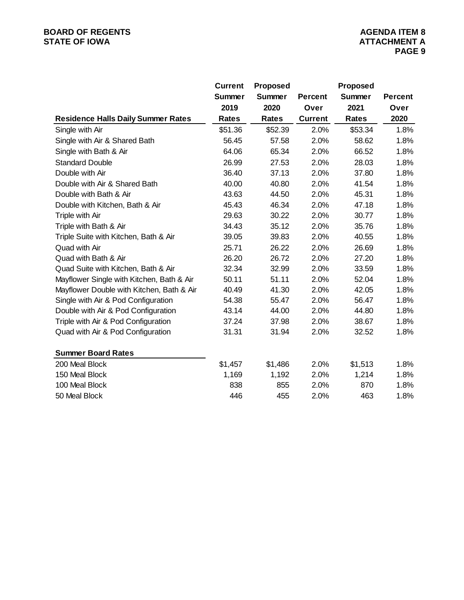|                                           | <b>Current</b> | <b>Proposed</b> |                | Proposed     |                |
|-------------------------------------------|----------------|-----------------|----------------|--------------|----------------|
|                                           | <b>Summer</b>  | <b>Summer</b>   | <b>Percent</b> | Summer       | <b>Percent</b> |
|                                           | 2019           | 2020            | Over           | 2021         | Over           |
| <b>Residence Halls Daily Summer Rates</b> | <b>Rates</b>   | <b>Rates</b>    | <b>Current</b> | <b>Rates</b> | 2020           |
| Single with Air                           | \$51.36        | \$52.39         | 2.0%           | \$53.34      | 1.8%           |
| Single with Air & Shared Bath             | 56.45          | 57.58           | 2.0%           | 58.62        | 1.8%           |
| Single with Bath & Air                    | 64.06          | 65.34           | 2.0%           | 66.52        | 1.8%           |
| <b>Standard Double</b>                    | 26.99          | 27.53           | 2.0%           | 28.03        | 1.8%           |
| Double with Air                           | 36.40          | 37.13           | 2.0%           | 37.80        | 1.8%           |
| Double with Air & Shared Bath             | 40.00          | 40.80           | 2.0%           | 41.54        | 1.8%           |
| Double with Bath & Air                    | 43.63          | 44.50           | 2.0%           | 45.31        | 1.8%           |
| Double with Kitchen, Bath & Air           | 45.43          | 46.34           | 2.0%           | 47.18        | 1.8%           |
| Triple with Air                           | 29.63          | 30.22           | 2.0%           | 30.77        | 1.8%           |
| Triple with Bath & Air                    | 34.43          | 35.12           | 2.0%           | 35.76        | 1.8%           |
| Triple Suite with Kitchen, Bath & Air     | 39.05          | 39.83           | 2.0%           | 40.55        | 1.8%           |
| Quad with Air                             | 25.71          | 26.22           | 2.0%           | 26.69        | 1.8%           |
| Quad with Bath & Air                      | 26.20          | 26.72           | 2.0%           | 27.20        | 1.8%           |
| Quad Suite with Kitchen, Bath & Air       | 32.34          | 32.99           | 2.0%           | 33.59        | 1.8%           |
| Mayflower Single with Kitchen, Bath & Air | 50.11          | 51.11           | 2.0%           | 52.04        | 1.8%           |
| Mayflower Double with Kitchen, Bath & Air | 40.49          | 41.30           | 2.0%           | 42.05        | 1.8%           |
| Single with Air & Pod Configuration       | 54.38          | 55.47           | 2.0%           | 56.47        | 1.8%           |
| Double with Air & Pod Configuration       | 43.14          | 44.00           | 2.0%           | 44.80        | 1.8%           |
| Triple with Air & Pod Configuration       | 37.24          | 37.98           | 2.0%           | 38.67        | 1.8%           |
| Quad with Air & Pod Configuration         | 31.31          | 31.94           | 2.0%           | 32.52        | 1.8%           |
| <b>Summer Board Rates</b>                 |                |                 |                |              |                |
| 200 Meal Block                            | \$1,457        | \$1,486         | 2.0%           | \$1,513      | 1.8%           |
| 150 Meal Block                            | 1,169          | 1,192           | 2.0%           | 1,214        | 1.8%           |
| 100 Meal Block                            | 838            | 855             | 2.0%           | 870          | 1.8%           |
| 50 Meal Block                             | 446            | 455             | 2.0%           | 463          | 1.8%           |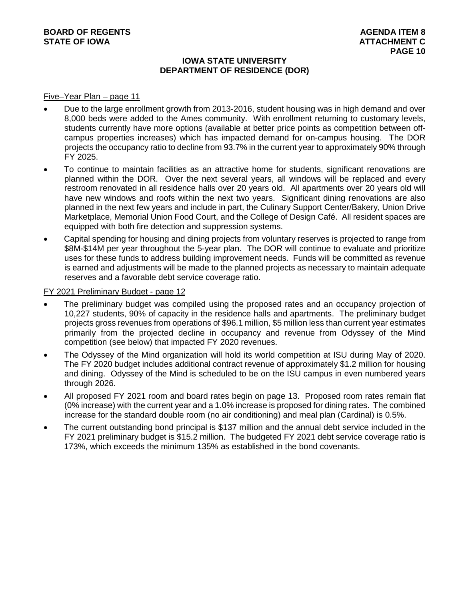## **IOWA STATE UNIVERSITY DEPARTMENT OF RESIDENCE (DOR)**

#### Five–Year Plan – page 11

- Due to the large enrollment growth from 2013-2016, student housing was in high demand and over 8,000 beds were added to the Ames community. With enrollment returning to customary levels, students currently have more options (available at better price points as competition between offcampus properties increases) which has impacted demand for on-campus housing. The DOR projects the occupancy ratio to decline from 93.7% in the current year to approximately 90% through FY 2025.
- To continue to maintain facilities as an attractive home for students, significant renovations are planned within the DOR. Over the next several years, all windows will be replaced and every restroom renovated in all residence halls over 20 years old. All apartments over 20 years old will have new windows and roofs within the next two years. Significant dining renovations are also planned in the next few years and include in part, the Culinary Support Center/Bakery, Union Drive Marketplace, Memorial Union Food Court, and the College of Design Café. All resident spaces are equipped with both fire detection and suppression systems.
- Capital spending for housing and dining projects from voluntary reserves is projected to range from \$8M-\$14M per year throughout the 5-year plan. The DOR will continue to evaluate and prioritize uses for these funds to address building improvement needs. Funds will be committed as revenue is earned and adjustments will be made to the planned projects as necessary to maintain adequate reserves and a favorable debt service coverage ratio.

## FY 2021 Preliminary Budget - page 12

- The preliminary budget was compiled using the proposed rates and an occupancy projection of 10,227 students, 90% of capacity in the residence halls and apartments. The preliminary budget projects gross revenues from operations of \$96.1 million, \$5 million less than current year estimates primarily from the projected decline in occupancy and revenue from Odyssey of the Mind competition (see below) that impacted FY 2020 revenues.
- The Odyssey of the Mind organization will hold its world competition at ISU during May of 2020. The FY 2020 budget includes additional contract revenue of approximately \$1.2 million for housing and dining. Odyssey of the Mind is scheduled to be on the ISU campus in even numbered years through 2026.
- All proposed FY 2021 room and board rates begin on page 13. Proposed room rates remain flat (0% increase) with the current year and a 1.0% increase is proposed for dining rates. The combined increase for the standard double room (no air conditioning) and meal plan (Cardinal) is 0.5%.
- The current outstanding bond principal is \$137 million and the annual debt service included in the FY 2021 preliminary budget is \$15.2 million. The budgeted FY 2021 debt service coverage ratio is 173%, which exceeds the minimum 135% as established in the bond covenants.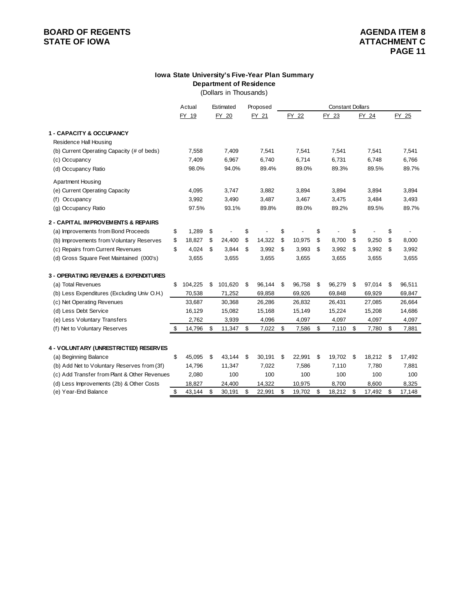#### **Department of Residence Iowa State University's Five-Year Plan Summary**

(Dollars in Thousands)

|                                              | Actual        |     | Estimated | Proposed     | <b>Constant Dollars</b> |        |    |        |    |        |    |        |
|----------------------------------------------|---------------|-----|-----------|--------------|-------------------------|--------|----|--------|----|--------|----|--------|
|                                              | FY 19         |     | FY 20     | FY 21        |                         | FY 22  |    | FY 23  |    | FY 24  |    | FY 25  |
| <b>1 - CAPACITY &amp; OCCUPANCY</b>          |               |     |           |              |                         |        |    |        |    |        |    |        |
| Residence Hall Housing                       |               |     |           |              |                         |        |    |        |    |        |    |        |
| (b) Current Operating Capacity (# of beds)   | 7,558         |     | 7,409     | 7,541        |                         | 7,541  |    | 7,541  |    | 7,541  |    | 7,541  |
| (c) Occupancy                                | 7,409         |     | 6,967     | 6,740        |                         | 6,714  |    | 6,731  |    | 6,748  |    | 6,766  |
| (d) Occupancy Ratio                          | 98.0%         |     | 94.0%     | 89.4%        |                         | 89.0%  |    | 89.3%  |    | 89.5%  |    | 89.7%  |
| <b>Apartment Housing</b>                     |               |     |           |              |                         |        |    |        |    |        |    |        |
| (e) Current Operating Capacity               | 4,095         |     | 3,747     | 3,882        |                         | 3,894  |    | 3,894  |    | 3,894  |    | 3,894  |
| Occupancy<br>(f)                             | 3,992         |     | 3,490     | 3,487        |                         | 3,467  |    | 3,475  |    | 3,484  |    | 3,493  |
| (g) Occupancy Ratio                          | 97.5%         |     | 93.1%     | 89.8%        |                         | 89.0%  |    | 89.2%  |    | 89.5%  |    | 89.7%  |
| 2 - CAPITAL IMPROVEMENTS & REPAIRS           |               |     |           |              |                         |        |    |        |    |        |    |        |
| (a) Improvements from Bond Proceeds          | \$<br>1,289   | -\$ |           | \$           | \$                      |        | \$ |        | \$ |        | \$ |        |
| (b) Improvements from Voluntary Reserves     | \$<br>18,827  | \$  | 24,400    | \$<br>14,322 | \$                      | 10,975 | \$ | 8,700  | \$ | 9,250  | \$ | 8,000  |
| (c) Repairs from Current Revenues            | \$<br>4,024   | \$  | 3,844     | \$<br>3,992  | \$                      | 3,993  | \$ | 3,992  | \$ | 3,992  | \$ | 3,992  |
| (d) Gross Square Feet Maintained (000's)     | 3,655         |     | 3,655     | 3,655        |                         | 3,655  |    | 3,655  |    | 3,655  |    | 3,655  |
| 3 - OPERATING REVENUES & EXPENDITURES        |               |     |           |              |                         |        |    |        |    |        |    |        |
| (a) Total Revenues                           | \$<br>104,225 | \$  | 101,620   | \$<br>96,144 | \$                      | 96,758 | \$ | 96,279 | \$ | 97,014 | \$ | 96,511 |
| (b) Less Expenditures (Excluding Univ O.H.)  | 70,538        |     | 71,252    | 69,858       |                         | 69,926 |    | 69,848 |    | 69,929 |    | 69,847 |
| (c) Net Operating Revenues                   | 33,687        |     | 30,368    | 26,286       |                         | 26,832 |    | 26,431 |    | 27,085 |    | 26,664 |
| (d) Less Debt Service                        | 16,129        |     | 15,082    | 15,168       |                         | 15,149 |    | 15,224 |    | 15,208 |    | 14,686 |
| (e) Less Voluntary Transfers                 | 2,762         |     | 3,939     | 4,096        |                         | 4,097  |    | 4,097  |    | 4,097  |    | 4,097  |
| (f) Net to Voluntary Reserves                | \$<br>14,796  | \$  | 11,347    | \$<br>7,022  | \$                      | 7,586  | \$ | 7,110  | \$ | 7,780  | \$ | 7,881  |
|                                              |               |     |           |              |                         |        |    |        |    |        |    |        |
| 4 - VOLUNTARY (UNRESTRICTED) RESERVES        |               |     |           |              |                         |        |    |        |    |        |    |        |
| (a) Beginning Balance                        | \$<br>45,095  | \$  | 43,144    | \$<br>30,191 | \$                      | 22,991 | \$ | 19,702 | \$ | 18,212 | \$ | 17,492 |
| (b) Add Net to Voluntary Reserves from (3f)  | 14,796        |     | 11,347    | 7,022        |                         | 7,586  |    | 7,110  |    | 7,780  |    | 7,881  |
| (c) Add Transfer from Plant & Other Revenues | 2,080         |     | 100       | 100          |                         | 100    |    | 100    |    | 100    |    | 100    |
| (d) Less Improvements (2b) & Other Costs     | 18,827        |     | 24,400    | 14,322       |                         | 10,975 |    | 8,700  |    | 8,600  |    | 8,325  |
| (e) Year-End Balance                         | \$<br>43,144  | \$  | 30,191    | \$<br>22,991 | \$                      | 19,702 | \$ | 18,212 | \$ | 17,492 | \$ | 17,148 |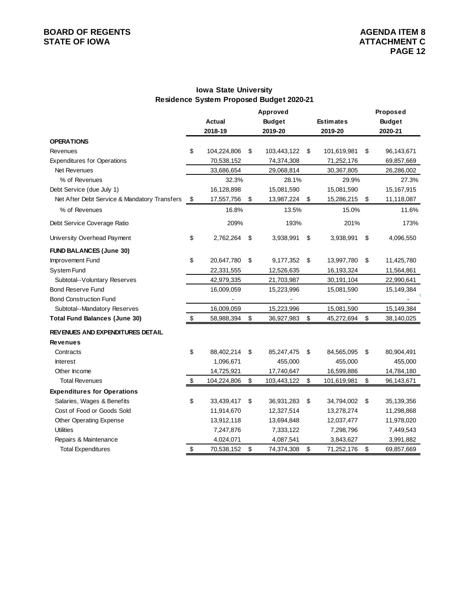## **Iowa State University Residence System Proposed Budget 2020-21**

|                                              | <b>Actual</b><br>2018-19 | Approved<br><b>Budget</b><br>2019-20 | <b>Estimates</b><br>2019-20 | Proposed<br><b>Budget</b><br>2020-21 |
|----------------------------------------------|--------------------------|--------------------------------------|-----------------------------|--------------------------------------|
| <b>OPERATIONS</b>                            |                          |                                      |                             |                                      |
| Revenues                                     | \$<br>104,224,806        | \$<br>103,443,122                    | \$<br>101,619,981           | \$<br>96,143,671                     |
| <b>Expenditures for Operations</b>           | 70,538,152               | 74,374,308                           | 71,252,176                  | 69,857,669                           |
| Net Revenues                                 | 33,686,654               | 29,068,814                           | 30,367,805                  | 26,286,002                           |
| % of Revenues                                | 32.3%                    | 28.1%                                | 29.9%                       | 27.3%                                |
| Debt Service (due July 1)                    | 16,128,898               | 15,081,590                           | 15,081,590                  | 15,167,915                           |
| Net After Debt Service & Mandatory Transfers | \$<br>17,557,756         | \$<br>13,987,224                     | \$<br>15,286,215            | \$<br>11,118,087                     |
| % of Revenues                                | 16.8%                    | 13.5%                                | 15.0%                       | 11.6%                                |
| Debt Service Coverage Ratio                  | 209%                     | 193%                                 | 201%                        | 173%                                 |
| University Overhead Payment                  | \$<br>2,762,264          | \$<br>3,938,991                      | \$<br>3,938,991             | \$<br>4,096,550                      |
| <b>FUND BALANCES (June 30)</b>               |                          |                                      |                             |                                      |
| Improvement Fund                             | \$<br>20,647,780         | \$<br>9,177,352                      | \$<br>13,997,780            | \$<br>11,425,780                     |
| System Fund                                  | 22,331,555               | 12,526,635                           | 16,193,324                  | 11,564,861                           |
| Subtotal--Voluntary Reserves                 | 42,979,335               | 21,703,987                           | 30,191,104                  | 22,990,641                           |
| <b>Bond Reserve Fund</b>                     | 16,009,059               | 15,223,996                           | 15,081,590                  | 15,149,384                           |
| <b>Bond Construction Fund</b>                |                          |                                      |                             |                                      |
| Subtotal--Mandatory Reserves                 | 16,009,059               | 15,223,996                           | 15,081,590                  | 15,149,384                           |
| <b>Total Fund Balances (June 30)</b>         | \$<br>58,988,394         | \$<br>36,927,983                     | \$<br>45,272,694            | \$<br>38,140,025                     |
| REVENUES AND EXPENDITURES DETAIL             |                          |                                      |                             |                                      |
| <b>Revenues</b>                              |                          |                                      |                             |                                      |
| Contracts                                    | \$<br>88,402,214         | \$<br>85,247,475                     | \$<br>84,565,095            | \$<br>80,904,491                     |
| <b>Interest</b>                              | 1,096,671                | 455,000                              | 455,000                     | 455,000                              |
| Other Income                                 | 14,725,921               | 17,740,647                           | 16,599,886                  | 14,784,180                           |
| <b>Total Revenues</b>                        | \$<br>104,224,806        | \$<br>103,443,122                    | \$<br>101,619,981           | \$<br>96,143,671                     |
| <b>Expenditures for Operations</b>           |                          |                                      |                             |                                      |
| Salaries, Wages & Benefits                   | \$<br>33,439,417         | \$<br>36,931,283                     | \$<br>34,794,002            | \$<br>35,139,356                     |
| Cost of Food or Goods Sold                   | 11,914,670               | 12,327,514                           | 13,278,274                  | 11,298,868                           |
| Other Operating Expense                      | 13,912,118               | 13,694,848                           | 12,037,477                  | 11,978,020                           |
| <b>Utilities</b>                             | 7,247,876                | 7,333,122                            | 7,298,796                   | 7,449,543                            |
| Repairs & Maintenance                        | 4,024,071                | 4,087,541                            | 3,843,627                   | 3,991,882                            |
| <b>Total Expenditures</b>                    | \$<br>70,538,152         | \$<br>74,374,308                     | \$<br>71,252,176            | \$<br>69,857,669                     |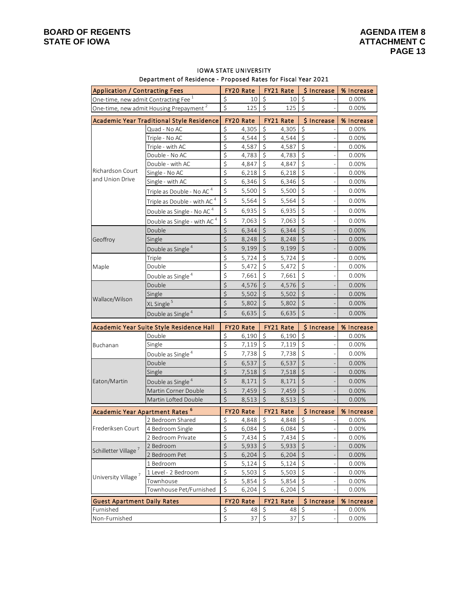Non-Furnished

| Department of Residence - Proposed Rates for Fiscal fear 2021 |                                                     |                        |                  |                  |                       |                        |            |  |  |  |
|---------------------------------------------------------------|-----------------------------------------------------|------------------------|------------------|------------------|-----------------------|------------------------|------------|--|--|--|
| <b>Application / Contracting Fees</b>                         |                                                     |                        | <b>FY20 Rate</b> |                  | <b>FY21 Rate</b>      | <b>S</b> Increase      | % Increase |  |  |  |
| One-time, new admit Contracting Fee 1                         |                                                     | \$                     | 10               | \$               | 10                    | \$                     | 0.00%      |  |  |  |
|                                                               | One-time, new admit Housing Prepayment <sup>2</sup> | \$                     | 125              | \$               | 125                   | $\zeta$                | 0.00%      |  |  |  |
|                                                               | Academic Year Traditional Style Residence           |                        | FY20 Rate        |                  | FY21 Rate             | \$ Increase            | % Increase |  |  |  |
|                                                               | Quad - No AC                                        | \$                     | 4,305            | \$               | 4,305                 | \$                     | 0.00%      |  |  |  |
|                                                               | Triple - No AC                                      | $\overline{\xi}$       | 4,544            | $\overline{\xi}$ | 4,544                 | $\overline{\xi}$       | 0.00%      |  |  |  |
|                                                               | Triple - with AC                                    | $\overline{\varsigma}$ | 4,587            | \$               | 4,587                 | \$                     | 0.00%      |  |  |  |
|                                                               | Double - No AC                                      | $\overline{\xi}$       | 4,783            | \$               | 4,783                 | $\zeta$                | 0.00%      |  |  |  |
|                                                               | Double - with AC                                    | $\overline{\xi}$       | 4,847            | \$               | 4,847                 | $\zeta$                | 0.00%      |  |  |  |
| Richardson Court                                              | Single - No AC                                      | \$                     | 6,218            | \$               | 6,218                 | \$                     | 0.00%      |  |  |  |
| and Union Drive                                               | Single - with AC                                    | $\overline{\xi}$       | 6,346            | \$               | 6,346                 | $\zeta$                | 0.00%      |  |  |  |
|                                                               | Triple as Double - No AC <sup>4</sup>               | \$                     | 5,500            | $\zeta$          | 5,500                 | $\zeta$                | 0.00%      |  |  |  |
|                                                               | Triple as Double - with AC <sup>4</sup>             | \$                     | 5,564            | \$               | 5,564                 | $\zeta$                | 0.00%      |  |  |  |
|                                                               | Double as Single - No AC <sup>4</sup>               | $\zeta$                | 6,935            | \$               | 6,935                 | $\zeta$                | 0.00%      |  |  |  |
|                                                               | Double as Single - with AC <sup>4</sup>             | \$                     | 7,063            | $\zeta$          | 7,063                 | $\zeta$                | 0.00%      |  |  |  |
|                                                               | Double                                              | $\boldsymbol{\zeta}$   | 6,344            | $\zeta$          | 6,344                 | $\zeta$                | 0.00%      |  |  |  |
| Geoffroy                                                      | Single                                              | $\zeta$                | 8,248            | $\zeta$          | 8,248                 | $\overline{\varsigma}$ | 0.00%      |  |  |  |
|                                                               | Double as Single <sup>4</sup>                       | \$                     | 9,199            | \$               | 9,199                 | $\zeta$                | 0.00%      |  |  |  |
|                                                               | Triple                                              | \$                     | 5,724            | \$               | 5,724                 | $\overline{\varsigma}$ | 0.00%      |  |  |  |
| Maple                                                         | Double                                              | \$                     | 5,472            | \$               | 5,472                 | \$                     | 0.00%      |  |  |  |
|                                                               | Double as Single <sup>4</sup>                       | \$                     | 7,661            | \$               | 7,661                 | $\boldsymbol{\zeta}$   | 0.00%      |  |  |  |
|                                                               | Double                                              | \$                     | 4,576            | \$               | 4,576                 | $\zeta$                | 0.00%      |  |  |  |
|                                                               | Single                                              | \$                     | 5,502            | \$               | 5,502                 | $\boldsymbol{\zeta}$   | 0.00%      |  |  |  |
| Wallace/Wilson                                                | XL Single <sup>5</sup>                              | \$                     | 5,802            | \$               | 5,802                 | $\zeta$                | 0.00%      |  |  |  |
|                                                               | Double as Single <sup>4</sup>                       | $\zeta$                | 6,635            | \$               | 6,635                 | $\zeta$                | 0.00%      |  |  |  |
|                                                               | Academic Year Suite Style Residence Hall            |                        | FY20 Rate        |                  | FY21 Rate             | \$ Increase            | % Increase |  |  |  |
|                                                               | Double                                              | \$                     | 6,190            | \$               | 6,190                 | \$                     | 0.00%      |  |  |  |
| Buchanan                                                      | Single                                              | $\overline{\varsigma}$ | 7,119            | \$               | 7,119                 | \$                     | 0.00%      |  |  |  |
|                                                               | Double as Single <sup>4</sup>                       | \$                     | 7,738            | \$               | 7,738                 | \$                     | 0.00%      |  |  |  |
|                                                               | Double                                              | $\zeta$                | 6,537            | \$               | 6,537                 | $\zeta$                | 0.00%      |  |  |  |
|                                                               | Single                                              | $\varsigma$            | 7,518            | \$               | 7,518                 | $\zeta$                | 0.00%      |  |  |  |
| Eaton/Martin                                                  | Double as Single <sup>4</sup>                       | $\zeta$                | 8,171            | \$               | 8,171                 | $\zeta$                | 0.00%      |  |  |  |
|                                                               | Martin Corner Double                                | $\zeta$                | 7,459            | \$               | 7,459                 | $\zeta$                | 0.00%      |  |  |  |
|                                                               | Martin Lofted Double                                | \$                     | 8,513            | \$               | 8,513                 | \$                     | 0.00%      |  |  |  |
| Academic Year Apartment Rates <sup>6</sup>                    |                                                     |                        | FY20 Rate        |                  | FY21 Rate             | \$ Increase            | % Increase |  |  |  |
|                                                               | 2 Bedroom Shared                                    | \$                     |                  |                  | $4,848$ \$ $4,848$ \$ |                        | 0.00%      |  |  |  |
| Frederiksen Court                                             | 4 Bedroom Single                                    | $\overline{\xi}$       | 6,084            | $\zeta$          | 6,084                 | $\zeta$                | 0.00%      |  |  |  |
|                                                               | 2 Bedroom Private                                   | \$                     | 7,434            | \$               | 7,434                 | $\zeta$                | 0.00%      |  |  |  |
|                                                               | 2 Bedroom                                           | $\boldsymbol{\zeta}$   | 5,933            | \$               | 5,933                 | $\boldsymbol{\zeta}$   | 0.00%      |  |  |  |
| Schilletter Village <sup>7</sup>                              | 2 Bedroom Pet                                       | $\zeta$                | 6,204            | $\zeta$          | 6,204                 | $\boldsymbol{\zeta}$   | 0.00%      |  |  |  |
|                                                               | 1 Bedroom                                           | \$                     | 5,124            | \$               | 5,124                 | \$                     | 0.00%      |  |  |  |
| University Village <sup>7</sup>                               | 1 Level - 2 Bedroom                                 | \$                     | 5,503            | \$               | 5,503                 | \$                     | 0.00%      |  |  |  |
|                                                               | Townhouse                                           | \$                     | 5,854            | \$               | 5,854                 | \$                     | 0.00%      |  |  |  |
|                                                               | Townhouse Pet/Furnished                             | \$                     | 6,204            | \$               | 6,204                 | \$                     | 0.00%      |  |  |  |
| <b>Guest Apartment Daily Rates</b>                            |                                                     |                        | FY20 Rate        |                  | FY21 Rate             | \$ Increase            | % Increase |  |  |  |
| Furnished                                                     |                                                     | $\zeta$                | 48               | \$               | 48                    | $\zeta$                | 0.00%      |  |  |  |

\$ 37 \$ 37 \$ - 0.00%

#### IOWA STATE UNIVERSITY Department of Residence - Proposed Rates for Fiscal Year 2021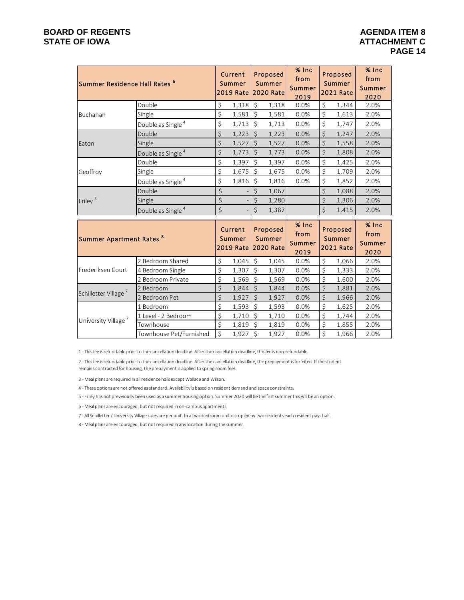|                                     | Summer Residence Hall Rates <sup>6</sup> |    | Current<br>Summer<br><b>2019 Rate</b> |                      | Proposed<br>Summer<br><b>2020 Rate</b> | % Inc<br>from<br>Summer<br>2019 | Proposed<br>Summer<br><b>2021 Rate</b> |                                        | $%$ Inc<br>from<br>Summer<br>2020 |
|-------------------------------------|------------------------------------------|----|---------------------------------------|----------------------|----------------------------------------|---------------------------------|----------------------------------------|----------------------------------------|-----------------------------------|
|                                     | Double                                   | \$ | 1,318                                 | $\zeta$              | 1,318                                  | 0.0%                            | \$                                     | 1,344                                  | 2.0%                              |
| Buchanan                            | Single                                   | \$ | 1,581                                 | $\zeta$              | 1,581                                  | 0.0%                            | \$                                     | 1,613                                  | 2.0%                              |
|                                     | Double as Single <sup>4</sup>            | \$ | 1,713                                 | $\zeta$              | 1,713                                  | 0.0%                            | \$                                     | 1,747                                  | 2.0%                              |
|                                     | Double                                   | \$ | 1,223                                 | $\zeta$              | 1,223                                  | 0.0%                            | $\zeta$                                | 1,247                                  | 2.0%                              |
| Eaton                               | Single                                   | \$ | 1,527                                 | $\zeta$              | 1,527                                  | 0.0%                            | $\zeta$                                | 1,558                                  | 2.0%                              |
|                                     | Double as Single <sup>4</sup>            | \$ | 1,773                                 | $\zeta$              | 1,773                                  | 0.0%                            | $\zeta$                                | 1,808                                  | 2.0%                              |
|                                     | Double                                   | \$ | 1,397                                 | $\zeta$              | 1,397                                  | 0.0%                            | \$                                     | 1,425                                  | 2.0%                              |
| Geoffroy                            | Single                                   | \$ | 1,675                                 | $\zeta$              | 1,675                                  | 0.0%                            | \$                                     | 1,709                                  | 2.0%                              |
|                                     | Double as Single <sup>4</sup>            | \$ | 1,816                                 | $\zeta$              | 1,816                                  | 0.0%                            | \$                                     | 1,852                                  | 2.0%                              |
|                                     | Double                                   | \$ |                                       | \$                   | 1,067                                  |                                 | \$                                     | 1,088                                  | 2.0%                              |
| Friley <sup>5</sup>                 | Single                                   | \$ |                                       | $\boldsymbol{\zeta}$ | 1,280                                  |                                 | \$                                     | 1,306                                  | 2.0%                              |
|                                     | Double as Single <sup>4</sup>            | \$ |                                       | $\zeta$              | 1,387                                  |                                 | $\zeta$                                | 1,415                                  | 2.0%                              |
| Summer Apartment Rates <sup>8</sup> |                                          |    | Current<br>Summer<br><b>2019 Rate</b> |                      | Proposed<br>Summer<br><b>2020 Rate</b> | % Inc<br>from<br>Summer<br>2019 |                                        | Proposed<br>Summer<br><b>2021 Rate</b> | % Inc<br>from<br>Summer<br>2020   |
|                                     | 2 Bedroom Shared                         | \$ | 1,045                                 | $\zeta$              | 1,045                                  | 0.0%                            | \$                                     | 1,066                                  | 2.0%                              |
| Frederiksen Court                   | 4 Bedroom Single                         | \$ | 1,307                                 | $\zeta$              | 1,307                                  | 0.0%                            | \$                                     | 1,333                                  | 2.0%                              |
|                                     | 2 Bedroom Private                        | \$ | 1,569                                 | $\zeta$              | 1,569                                  | 0.0%                            | $\overline{\varsigma}$                 | 1,600                                  | 2.0%                              |
| Schilletter Village <sup>7</sup>    | 2 Bedroom                                | \$ | 1,844                                 | $\zeta$              | 1,844                                  | 0.0%                            | $\zeta$                                | 1,881                                  | 2.0%                              |
|                                     | 2 Bedroom Pet                            | \$ | 1,927                                 | $\zeta$              | 1,927                                  | 0.0%                            | \$                                     | 1,966                                  | 2.0%                              |
|                                     | 1 Bedroom                                | \$ | 1,593                                 | $\mathsf{S}$         | 1,593                                  | 0.0%                            | \$                                     | 1,625                                  | 2.0%                              |
| University Village <sup>7</sup>     | 1 Level - 2 Bedroom                      | \$ | 1,710                                 | $\zeta$              | 1,710                                  | 0.0%                            | \$                                     | 1,744                                  | 2.0%                              |
|                                     | Townhouse                                | \$ | 1,819                                 | $\mathsf{S}$         | 1,819                                  | 0.0%                            | \$                                     | 1,855                                  | 2.0%                              |
|                                     | Townhouse Pet/Furnished                  | \$ | 1,927                                 | $\zeta$              | 1,927                                  | 0.0%                            | \$                                     | 1,966                                  | 2.0%                              |

1 - This fee is refundable prior to the cancellation deadline. After the cancellation deadline, this fee is non-refundable.

2 - This fee is refundable prior to the cancellation deadline. After the cancellation deadline, the prepayment is forfeited. If the student remains contracted for housing, the prepayment is applied to spring room fees.

3 - Meal plans are required in all residence halls except Wallace and Wilson.

4 - These options are not offered as standard. Availability is based on resident demand and space constraints.

5 - Friley has not prevviously been used as a summer housing option. Summer 2020 will be the first summer this will be an option.

6 - Meal plans are encouraged, but not required in on-campus apartments.

7 - All Schilletter / University Village rates are per unit. In a two-bedroom unit occupied by two residents each resident pays half.

8 - Meal plans are encouraged, but not required in any location during the summer.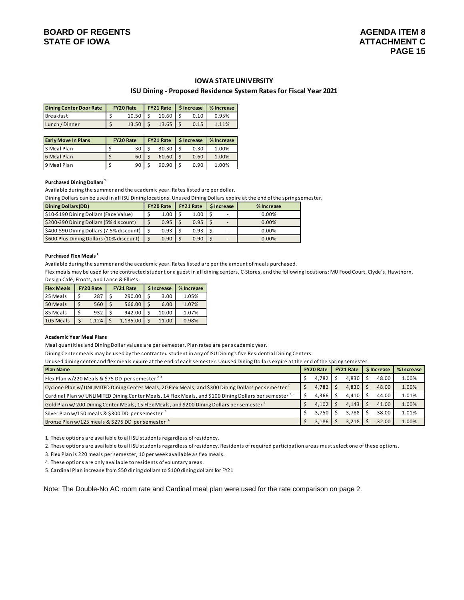#### **IOWA STATE UNIVERSITY**

#### **ISU Dining - Proposed Residence System Rates for Fiscal Year 2021**

| Dining Center Door Rate | <b>FY20 Rate</b> |       |           |      | FY21 Rate   \$ Increase   % Increase |  |  |
|-------------------------|------------------|-------|-----------|------|--------------------------------------|--|--|
| <b>Breakfast</b>        |                  | 10.50 | $10.60$ S | 0.10 | 0.95%                                |  |  |
| Lunch / Dinner          |                  | 13.50 | 13.65     | 0.15 | 1.11%                                |  |  |

| <b>Early Move In Plans</b> | <b>FY20 Rate</b> | <b>FY21 Rate   S Increase</b> |      | % Increase |  |  |
|----------------------------|------------------|-------------------------------|------|------------|--|--|
| 3 Meal Plan                | 30               | 30.30                         | 0.30 | 1.00%      |  |  |
| 6 Meal Plan                | 60               | 60.60                         | 0.60 | 1.00%      |  |  |
| 9 Meal Plan                | 90               | 90.90                         | 0.90 | 1.00%      |  |  |

#### **Purchased Dining Dollars 1**

Available during the summer and the academic year. Rates listed are per dollar.

Dining Dollars can be used in all ISU Dining locations. Unused Dining Dollars expire at the end of the spring semester.

| <b>Dining Dollars (DD)</b>                    | <b>FY20 Rate</b> | <b>FY21 Rate</b> | <b>S</b> Increase | % Increase |  |  |  |
|-----------------------------------------------|------------------|------------------|-------------------|------------|--|--|--|
| \$10-\$190 Dining Dollars (Face Value)        | 1.00             | 1.00             |                   | $0.00\%$   |  |  |  |
| \$200-390 Dining Dollars (5% discount)        | 0.95             | 0.95             |                   | 0.00%      |  |  |  |
| \$400-590 Dining Dollars (7.5% discount)   \$ | 0.93             | 0.93             |                   | 0.00%      |  |  |  |
| \$600 Plus Dining Dollars (10% discount)      | 0.90             | 0.90             |                   | 0.00%      |  |  |  |

#### **Purchased Flex Meals 1**

Available during the summer and the academic year. Rates listed are per the amount of meals purchased.

Flex meals may be used for the contracted student or a guest in all dining centers, C-Stores, and the following locations: MU Food Court, Clyde's, Hawthorn, Design Café, Froots, and Lance & Ellie's.

| <b>Flex Meals</b> | <b>FY20 Rate</b> |       | <b>FY21 Rate</b> | \$ Increase | % Increase |
|-------------------|------------------|-------|------------------|-------------|------------|
| 25 Meals          |                  | 287   | 290.00           | 3.00        | 1.05%      |
| 50 Meals          |                  | 560   | 566.00           | 6.00        | 1.07%      |
| 85 Meals          |                  | 932   | 942.00           | 10.00       | 1.07%      |
| 105 Meals         |                  | 1.124 | 1.135.00         | 11.00       | 0.98%      |

#### **Academic Year Meal Plans**

Meal quantities and Dining Dollar values are per semester. Plan rates are per academic year.

Dining Center meals may be used by the contracted student in any of ISU Dining's five Residential Dining Centers.

Unused dining center and flex meals expire at the end of each semester. Unused Dining Dollars expire at the end of the spring semester.

| <b>Plan Name</b>                                                                                                | <b>FY20 Rate</b> | <b>FY21 Rate</b> |             | % Increase |
|-----------------------------------------------------------------------------------------------------------------|------------------|------------------|-------------|------------|
|                                                                                                                 |                  |                  | \$ Increase |            |
| Flex Plan w/220 Meals & \$75 DD per semester $23$                                                               | 4,782            | 4,830            | 48.00       | 1.00%      |
| Cyclone Plan w/UNLIMITED Dining Center Meals, 20 Flex Meals, and \$300 Dining Dollars per semester <sup>2</sup> | 4,782            | 4.830            | 48.00       | 1.00%      |
| Cardinal Plan w/UNLIMITED Dining Center Meals, 14 Flex Meals, and \$100 Dining Dollars per semester $2.5$       | 4,366            | 4,410            | 44.00       | 1.01%      |
| Gold Plan w/200 Dining Center Meals, 15 Flex Meals, and \$200 Dining Dollars per semester <sup>2</sup>          | 4,102            | 4,143            | 41.00       | 1.00%      |
| Silver Plan w/150 meals & \$300 DD per semester 4                                                               | 3,750            | 3.788            | 38.00       | 1.01%      |
| Bronze Plan w/125 meals & \$275 DD per semester <sup>4</sup>                                                    | 3,186            | 3,218            | 32.00       | 1.00%      |

1. These options are available to all ISU students regardless of residency.

2. These options are available to all ISU students regardless of residency. Residents of required participation areas must select one of these options.

3. Flex Plan is 220 meals per semester, 10 per week available as flex meals.

4. These options are only available to residents of voluntary areas.

5. Cardinal Plan increase from \$50 dining dollars to \$100 dining dollars for FY21

Note: The Double-No AC room rate and Cardinal meal plan were used for the rate comparison on page 2.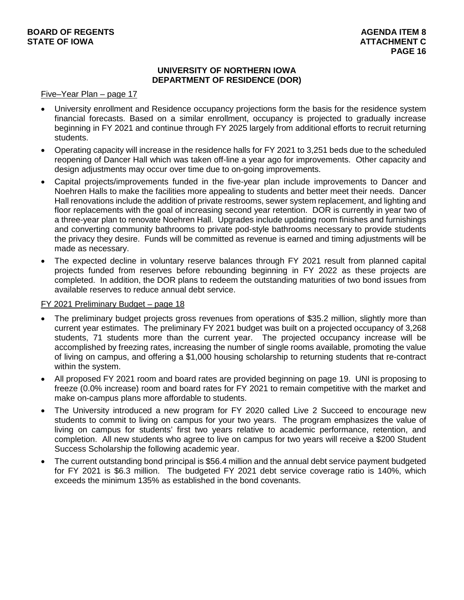## **UNIVERSITY OF NORTHERN IOWA DEPARTMENT OF RESIDENCE (DOR)**

#### Five–Year Plan – page 17

- University enrollment and Residence occupancy projections form the basis for the residence system financial forecasts. Based on a similar enrollment, occupancy is projected to gradually increase beginning in FY 2021 and continue through FY 2025 largely from additional efforts to recruit returning students.
- Operating capacity will increase in the residence halls for FY 2021 to 3,251 beds due to the scheduled reopening of Dancer Hall which was taken off-line a year ago for improvements. Other capacity and design adjustments may occur over time due to on-going improvements.
- Capital projects/improvements funded in the five-year plan include improvements to Dancer and Noehren Halls to make the facilities more appealing to students and better meet their needs. Dancer Hall renovations include the addition of private restrooms, sewer system replacement, and lighting and floor replacements with the goal of increasing second year retention. DOR is currently in year two of a three-year plan to renovate Noehren Hall. Upgrades include updating room finishes and furnishings and converting community bathrooms to private pod-style bathrooms necessary to provide students the privacy they desire. Funds will be committed as revenue is earned and timing adjustments will be made as necessary.
- The expected decline in voluntary reserve balances through FY 2021 result from planned capital projects funded from reserves before rebounding beginning in FY 2022 as these projects are completed. In addition, the DOR plans to redeem the outstanding maturities of two bond issues from available reserves to reduce annual debt service.

## FY 2021 Preliminary Budget – page 18

- The preliminary budget projects gross revenues from operations of \$35.2 million, slightly more than current year estimates. The preliminary FY 2021 budget was built on a projected occupancy of 3,268 students, 71 students more than the current year. The projected occupancy increase will be accomplished by freezing rates, increasing the number of single rooms available, promoting the value of living on campus, and offering a \$1,000 housing scholarship to returning students that re-contract within the system.
- All proposed FY 2021 room and board rates are provided beginning on page 19. UNI is proposing to freeze (0.0% increase) room and board rates for FY 2021 to remain competitive with the market and make on-campus plans more affordable to students.
- The University introduced a new program for FY 2020 called Live 2 Succeed to encourage new students to commit to living on campus for your two years. The program emphasizes the value of living on campus for students' first two years relative to academic performance, retention, and completion. All new students who agree to live on campus for two years will receive a \$200 Student Success Scholarship the following academic year.
- The current outstanding bond principal is \$56.4 million and the annual debt service payment budgeted for FY 2021 is \$6.3 million. The budgeted FY 2021 debt service coverage ratio is 140%, which exceeds the minimum 135% as established in the bond covenants.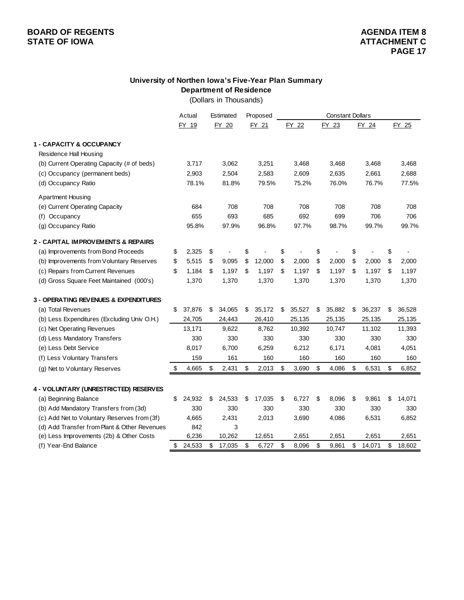# **University of Northen Iowa's Five-Year Plan Summary Department of Residence**

(Dollars in Thousands)

|                                                  | Actual       | Estimated    | Proposed     |              | <b>Constant Dollars</b> |        |    |        |    |        |
|--------------------------------------------------|--------------|--------------|--------------|--------------|-------------------------|--------|----|--------|----|--------|
|                                                  | FY 19        | FY 20        | FY 21        | FY 22        |                         | FY 23  |    | FY 24  |    | FY 25  |
|                                                  |              |              |              |              |                         |        |    |        |    |        |
| 1 - CAPACITY & OCCUPANCY                         |              |              |              |              |                         |        |    |        |    |        |
| Residence Hall Housing                           |              |              |              |              |                         |        |    |        |    |        |
| (b) Current Operating Capacity (# of beds)       | 3,717        | 3,062        | 3,251        | 3,468        |                         | 3,468  |    | 3,468  |    | 3,468  |
| (c) Occupancy (permanent beds)                   | 2,903        | 2,504        | 2,583        | 2,609        |                         | 2,635  |    | 2,661  |    | 2,688  |
| (d) Occupancy Ratio                              | 78.1%        | 81.8%        | 79.5%        | 75.2%        |                         | 76.0%  |    | 76.7%  |    | 77.5%  |
| <b>Apartment Housing</b>                         |              |              |              |              |                         |        |    |        |    |        |
| (e) Current Operating Capacity                   | 684          | 708          | 708          | 708          |                         | 708    |    | 708    |    | 708    |
| (f) Occupancy                                    | 655          | 693          | 685          | 692          |                         | 699    |    | 706    |    | 706    |
| (g) Occupancy Ratio                              | 95.8%        | 97.9%        | 96.8%        | 97.7%        |                         | 98.7%  |    | 99.7%  |    | 99.7%  |
| 2 - CAPITAL IMPROVEMENTS & REPAIRS               |              |              |              |              |                         |        |    |        |    |        |
| (a) Improvements from Bond Proceeds              | \$<br>2,325  | \$           | \$           | \$           | \$                      |        | \$ |        | \$ |        |
| (b) Improvements from Voluntary Reserves         | \$<br>5,515  | \$<br>9,095  | \$<br>12,000 | \$<br>2,000  | \$                      | 2,000  | \$ | 2,000  | \$ | 2,000  |
| (c) Repairs from Current Revenues                | \$<br>1,184  | \$<br>1,197  | \$<br>1,197  | \$<br>1,197  | \$                      | 1,197  | \$ | 1,197  | \$ | 1,197  |
| (d) Gross Square Feet Maintained (000's)         | 1,370        | 1,370        | 1,370        | 1,370        |                         | 1,370  |    | 1,370  |    | 1,370  |
| <b>3 - OPERATING REVENUES &amp; EXPENDITURES</b> |              |              |              |              |                         |        |    |        |    |        |
| (a) Total Revenues                               | \$<br>37,876 | 34,065       | 35,172       | 35,527       |                         | 35,882 |    | 36,237 |    | 36,528 |
|                                                  |              | \$           | \$           | \$           | \$                      |        | \$ |        | \$ |        |
| (b) Less Expenditures (Excluding Univ O.H.)      | 24,705       | 24,443       | 26,410       | 25,135       |                         | 25,135 |    | 25,135 |    | 25,135 |
| (c) Net Operating Revenues                       | 13,171       | 9,622        | 8,762        | 10,392       |                         | 10,747 |    | 11,102 |    | 11,393 |
| (d) Less Mandatory Transfers                     | 330          | 330          | 330          | 330          |                         | 330    |    | 330    |    | 330    |
| (e) Less Debt Service                            | 8,017        | 6,700<br>161 | 6,259<br>160 | 6,212<br>160 |                         | 6,171  |    | 4,081  |    | 4,051  |
| (f) Less Voluntary Transfers                     | 159          |              |              |              |                         | 160    |    | 160    |    | 160    |
| (g) Net to Voluntary Reserves                    | \$<br>4,665  | \$<br>2,431  | \$<br>2,013  | \$<br>3,690  | \$                      | 4,086  | \$ | 6,531  | \$ | 6,852  |
| 4 - VOLUNTARY (UNRESTRICTED) RESERVES            |              |              |              |              |                         |        |    |        |    |        |
| (a) Beginning Balance                            | \$<br>24,932 | \$<br>24,533 | \$<br>17,035 | \$<br>6,727  | \$                      | 8,096  | \$ | 9,861  | \$ | 14,071 |
| (b) Add Mandatory Transfers from (3d)            | 330          | 330          | 330          | 330          |                         | 330    |    | 330    |    | 330    |
| (c) Add Net to Voluntary Reserves from (3f)      | 4,665        | 2,431        | 2,013        | 3,690        |                         | 4,086  |    | 6,531  |    | 6,852  |
| (d) Add Transfer from Plant & Other Revenues     | 842          | 3            |              |              |                         |        |    |        |    |        |
| (e) Less Improvements (2b) & Other Costs         | 6,236        | 10,262       | 12,651       | 2,651        |                         | 2,651  |    | 2,651  |    | 2,651  |
| (f) Year-End Balance                             | \$<br>24,533 | \$<br>17,035 | \$<br>6,727  | \$<br>8,096  | \$                      | 9,861  | \$ | 14,071 | \$ | 18,602 |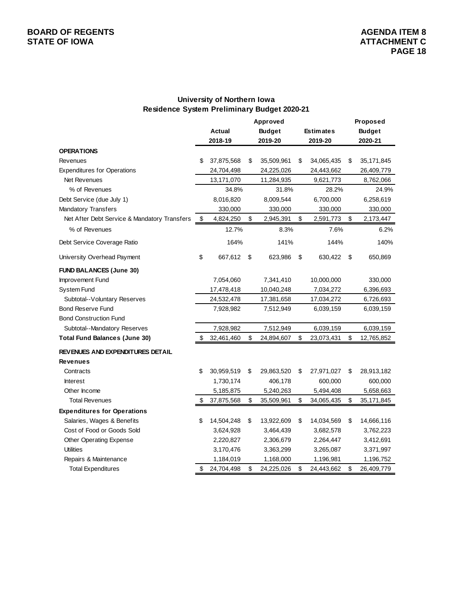## **University of Northern Iowa Residence System Preliminary Budget 2020-21**

|                                              |    |               | Approved         |                  | Proposed           |
|----------------------------------------------|----|---------------|------------------|------------------|--------------------|
|                                              |    | <b>Actual</b> | <b>Budget</b>    | <b>Estimates</b> | <b>Budget</b>      |
|                                              |    | 2018-19       | 2019-20          | 2019-20          | 2020-21            |
| <b>OPERATIONS</b>                            |    |               |                  |                  |                    |
| Revenues                                     | \$ | 37,875,568    | \$<br>35,509,961 | \$<br>34,065,435 | \$<br>35, 171, 845 |
| <b>Expenditures for Operations</b>           |    | 24,704,498    | 24,225,026       | 24,443,662       | 26,409,779         |
| <b>Net Revenues</b>                          |    | 13,171,070    | 11,284,935       | 9,621,773        | 8,762,066          |
| % of Revenues                                |    | 34.8%         | 31.8%            | 28.2%            | 24.9%              |
| Debt Service (due July 1)                    |    | 8,016,820     | 8,009,544        | 6,700,000        | 6,258,619          |
| Mandatory Transfers                          |    | 330,000       | 330,000          | 330,000          | 330,000            |
| Net After Debt Service & Mandatory Transfers | \$ | 4,824,250     | \$<br>2,945,391  | \$<br>2,591,773  | \$<br>2,173,447    |
| % of Revenues                                |    | 12.7%         | 8.3%             | 7.6%             | 6.2%               |
| Debt Service Coverage Ratio                  |    | 164%          | 141%             | 144%             | 140%               |
| University Overhead Payment                  | \$ | 667,612       | \$<br>623,986    | \$<br>630,422    | \$<br>650,869      |
| <b>FUND BALANCES (June 30)</b>               |    |               |                  |                  |                    |
| Improvement Fund                             |    | 7,054,060     | 7,341,410        | 10,000,000       | 330,000            |
| System Fund                                  |    | 17,478,418    | 10,040,248       | 7,034,272        | 6,396,693          |
| Subtotal--Voluntary Reserves                 |    | 24,532,478    | 17,381,658       | 17,034,272       | 6,726,693          |
| <b>Bond Reserve Fund</b>                     |    | 7,928,982     | 7,512,949        | 6,039,159        | 6,039,159          |
| <b>Bond Construction Fund</b>                |    |               |                  |                  |                    |
| Subtotal--Mandatory Reserves                 |    | 7,928,982     | 7,512,949        | 6,039,159        | 6,039,159          |
| <b>Total Fund Balances (June 30)</b>         | S  | 32,461,460    | \$<br>24,894,607 | \$<br>23,073,431 | \$<br>12,765,852   |
| REVENUES AND EXPENDITURES DETAIL             |    |               |                  |                  |                    |
| <b>Revenues</b>                              |    |               |                  |                  |                    |
| Contracts                                    | \$ | 30,959,519    | \$<br>29,863,520 | \$<br>27,971,027 | \$<br>28,913,182   |
| <b>Interest</b>                              |    | 1,730,174     | 406,178          | 600,000          | 600,000            |
| Other Income                                 |    | 5,185,875     | 5,240,263        | 5,494,408        | 5,658,663          |
| <b>Total Revenues</b>                        | \$ | 37,875,568    | \$<br>35,509,961 | \$<br>34,065,435 | \$<br>35, 171, 845 |
| <b>Expenditures for Operations</b>           |    |               |                  |                  |                    |
| Salaries, Wages & Benefits                   | \$ | 14,504,248    | \$<br>13,922,609 | \$<br>14,034,569 | \$<br>14,666,116   |
| Cost of Food or Goods Sold                   |    | 3,624,928     | 3,464,439        | 3,682,578        | 3,762,223          |
| <b>Other Operating Expense</b>               |    | 2,220,827     | 2,306,679        | 2,264,447        | 3,412,691          |
| <b>Utilities</b>                             |    | 3,170,476     | 3,363,299        | 3,265,087        | 3,371,997          |
| Repairs & Maintenance                        |    | 1,184,019     | 1,168,000        | 1,196,981        | 1,196,752          |
| <b>Total Expenditures</b>                    | \$ | 24,704,498    | \$<br>24,225,026 | \$<br>24,443,662 | \$<br>26,409,779   |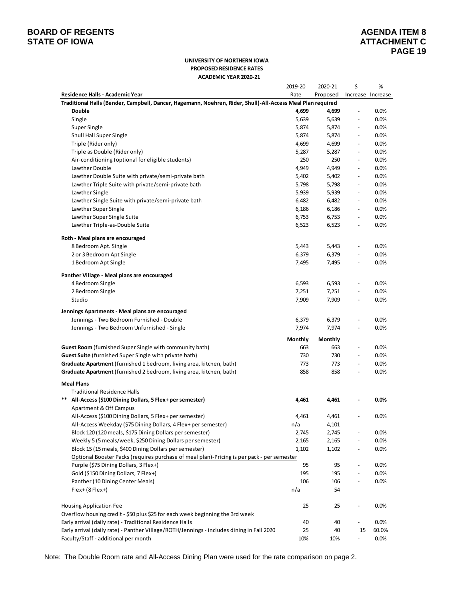# **BOARD OF REGENTS**<br> **BOARD OF REGENTS**<br> **AGENDA ITEM 8**<br> **ATTACHMENT C**

#### **UNIVERSITY OF NORTHERN IOWA PROPOSED RESIDENCE RATES ACADEMIC YEAR 2020-21**

|                                                                                                             | 2019-20 | 2020-21  | \$                       | %                 |
|-------------------------------------------------------------------------------------------------------------|---------|----------|--------------------------|-------------------|
| Residence Halls - Academic Year                                                                             | Rate    | Proposed |                          | Increase Increase |
| Traditional Halls (Bender, Campbell, Dancer, Hagemann, Noehren, Rider, Shull)-All-Access Meal Plan required |         |          |                          |                   |
| <b>Double</b>                                                                                               | 4,699   | 4,699    | $\overline{\phantom{a}}$ | 0.0%              |
| Single                                                                                                      | 5,639   | 5,639    | $\overline{\phantom{a}}$ | 0.0%              |
| Super Single                                                                                                | 5,874   | 5,874    | $\overline{\phantom{a}}$ | 0.0%              |
| Shull Hall Super Single                                                                                     | 5,874   | 5,874    | $\blacksquare$           | 0.0%              |
| Triple (Rider only)                                                                                         | 4,699   | 4,699    | $\overline{\phantom{a}}$ | 0.0%              |
| Triple as Double (Rider only)                                                                               | 5,287   | 5,287    | $\overline{\phantom{a}}$ | 0.0%              |
| Air-conditioning (optional for eligible students)                                                           | 250     | 250      | $\blacksquare$           | 0.0%              |
| Lawther Double                                                                                              | 4,949   | 4,949    | $\overline{\phantom{a}}$ | 0.0%              |
| Lawther Double Suite with private/semi-private bath                                                         | 5,402   | 5,402    | $\overline{\phantom{a}}$ | 0.0%              |
| Lawther Triple Suite with private/semi-private bath                                                         | 5,798   | 5,798    | $\overline{\phantom{a}}$ | 0.0%              |
| Lawther Single                                                                                              | 5,939   | 5,939    | $\overline{\phantom{a}}$ | 0.0%              |
| Lawther Single Suite with private/semi-private bath                                                         | 6,482   | 6,482    | $\blacksquare$           | 0.0%              |
| Lawther Super Single                                                                                        | 6,186   | 6,186    | $\overline{\phantom{a}}$ | 0.0%              |
| Lawther Super Single Suite                                                                                  | 6,753   | 6,753    | $\overline{\phantom{a}}$ | 0.0%              |
| Lawther Triple-as-Double Suite                                                                              | 6,523   | 6,523    | $\overline{\phantom{a}}$ | 0.0%              |
| Roth - Meal plans are encouraged                                                                            |         |          |                          |                   |
| 8 Bedroom Apt. Single                                                                                       | 5,443   | 5,443    | $\overline{\phantom{a}}$ | 0.0%              |
| 2 or 3 Bedroom Apt Single                                                                                   | 6,379   | 6,379    | $\blacksquare$           | 0.0%              |
| 1 Bedroom Apt Single                                                                                        | 7,495   | 7,495    | $\overline{\phantom{a}}$ | 0.0%              |
| Panther Village - Meal plans are encouraged                                                                 |         |          |                          |                   |
| 4 Bedroom Single                                                                                            | 6,593   | 6,593    | $\frac{1}{2}$            | 0.0%              |
| 2 Bedroom Single                                                                                            | 7,251   | 7,251    | $\blacksquare$           | 0.0%              |
| Studio                                                                                                      | 7,909   | 7,909    | $\overline{\phantom{a}}$ | 0.0%              |
| Jennings Apartments - Meal plans are encouraged                                                             |         |          |                          |                   |
| Jennings - Two Bedroom Furnished - Double                                                                   | 6,379   | 6,379    | $\overline{\phantom{a}}$ | 0.0%              |
| Jennings - Two Bedroom Unfurnished - Single                                                                 | 7,974   | 7,974    |                          | 0.0%              |
|                                                                                                             | Monthly | Monthly  |                          |                   |
| <b>Guest Room</b> (furnished Super Single with community bath)                                              | 663     | 663      | $\overline{\phantom{a}}$ | 0.0%              |
| Guest Suite (furnished Super Single with private bath)                                                      | 730     | 730      |                          | 0.0%              |
| <b>Graduate Apartment</b> (furnished 1 bedroom, living area, kitchen, bath)                                 | 773     | 773      | $\overline{\phantom{a}}$ | 0.0%              |
| <b>Graduate Apartment</b> (furnished 2 bedroom, living area, kitchen, bath)                                 | 858     | 858      | $\overline{\phantom{a}}$ | 0.0%              |
| <b>Meal Plans</b>                                                                                           |         |          |                          |                   |
| <b>Traditional Residence Halls</b>                                                                          |         |          |                          |                   |
| **<br>All-Access (\$100 Dining Dollars, 5 Flex+ per semester)                                               | 4,461   | 4,461    |                          | 0.0%              |
| <b>Apartment &amp; Off Campus</b>                                                                           |         |          |                          |                   |
| All-Access (\$100 Dining Dollars, 5 Flex+ per semester)                                                     | 4,461   | 4,461    | $\overline{\phantom{a}}$ | 0.0%              |
| All-Access Weekday (\$75 Dining Dollars, 4 Flex+ per semester)                                              | n/a     | 4,101    |                          |                   |
| Block 120 (120 meals, \$175 Dining Dollars per semester)                                                    | 2,745   | 2,745    |                          | 0.0%              |
| Weekly 5 (5 meals/week, \$250 Dining Dollars per semester)                                                  | 2,165   | 2,165    | $\frac{1}{2}$            | 0.0%              |
| Block 15 (15 meals, \$400 Dining Dollars per semester)                                                      | 1,102   | 1,102    | $\overline{\phantom{0}}$ | 0.0%              |
| Optional Booster Packs (requires purchase of meal plan)-Pricing is per pack - per semester                  |         |          |                          |                   |
| Purple (\$75 Dining Dollars, 3 Flex+)                                                                       | 95      | 95       | $\blacksquare$           | 0.0%              |
| Gold (\$150 Dining Dollars, 7 Flex+)                                                                        | 195     | 195      | $\overline{a}$           | 0.0%              |
| Panther (10 Dining Center Meals)                                                                            | 106     | 106      | $\overline{\phantom{a}}$ | 0.0%              |
| $Flex+(8Flex+)$                                                                                             | n/a     | 54       |                          |                   |
| <b>Housing Application Fee</b>                                                                              | 25      | 25       |                          | 0.0%              |
| Overflow housing credit - \$50 plus \$25 for each week beginning the 3rd week                               |         |          |                          |                   |
| Early arrival (daily rate) - Traditional Residence Halls                                                    | 40      | 40       |                          | 0.0%              |
| Early arrival (daily rate) - Panther Village/ROTH/Jennings - includes dining in Fall 2020                   | 25      | 40       | 15                       | 60.0%             |
| Faculty/Staff - additional per month                                                                        | 10%     | 10%      |                          | 0.0%              |

Note: The Double Room rate and All-Access Dining Plan were used for the rate comparison on page 2.